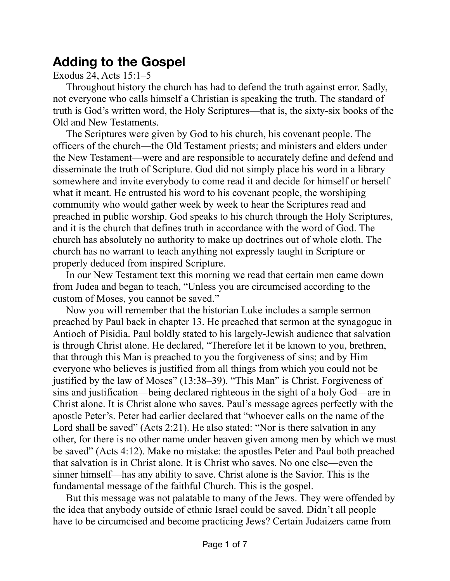## **Adding to the Gospel**

## Exodus 24, Acts 15:1–5

Throughout history the church has had to defend the truth against error. Sadly, not everyone who calls himself a Christian is speaking the truth. The standard of truth is God's written word, the Holy Scriptures—that is, the sixty-six books of the Old and New Testaments.

The Scriptures were given by God to his church, his covenant people. The officers of the church—the Old Testament priests; and ministers and elders under the New Testament—were and are responsible to accurately define and defend and disseminate the truth of Scripture. God did not simply place his word in a library somewhere and invite everybody to come read it and decide for himself or herself what it meant. He entrusted his word to his covenant people, the worshiping community who would gather week by week to hear the Scriptures read and preached in public worship. God speaks to his church through the Holy Scriptures, and it is the church that defines truth in accordance with the word of God. The church has absolutely no authority to make up doctrines out of whole cloth. The church has no warrant to teach anything not expressly taught in Scripture or properly deduced from inspired Scripture.

In our New Testament text this morning we read that certain men came down from Judea and began to teach, "Unless you are circumcised according to the custom of Moses, you cannot be saved."

Now you will remember that the historian Luke includes a sample sermon preached by Paul back in chapter 13. He preached that sermon at the synagogue in Antioch of Pisidia. Paul boldly stated to his largely-Jewish audience that salvation is through Christ alone. He declared, "Therefore let it be known to you, brethren, that through this Man is preached to you the forgiveness of sins; and by Him everyone who believes is justified from all things from which you could not be justified by the law of Moses" (13:38–39). "This Man" is Christ. Forgiveness of sins and justification—being declared righteous in the sight of a holy God—are in Christ alone. It is Christ alone who saves. Paul's message agrees perfectly with the apostle Peter's. Peter had earlier declared that "whoever calls on the name of the Lord shall be saved" (Acts 2:21). He also stated: "Nor is there salvation in any other, for there is no other name under heaven given among men by which we must be saved" (Acts 4:12). Make no mistake: the apostles Peter and Paul both preached that salvation is in Christ alone. It is Christ who saves. No one else—even the sinner himself—has any ability to save. Christ alone is the Savior. This is the fundamental message of the faithful Church. This is the gospel.

But this message was not palatable to many of the Jews. They were offended by the idea that anybody outside of ethnic Israel could be saved. Didn't all people have to be circumcised and become practicing Jews? Certain Judaizers came from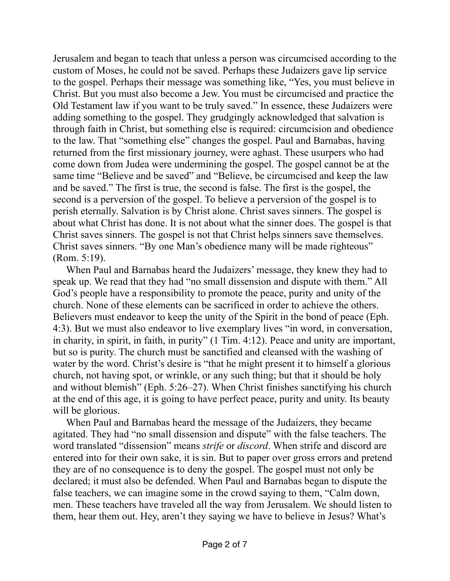Jerusalem and began to teach that unless a person was circumcised according to the custom of Moses, he could not be saved. Perhaps these Judaizers gave lip service to the gospel. Perhaps their message was something like, "Yes, you must believe in Christ. But you must also become a Jew. You must be circumcised and practice the Old Testament law if you want to be truly saved." In essence, these Judaizers were adding something to the gospel. They grudgingly acknowledged that salvation is through faith in Christ, but something else is required: circumcision and obedience to the law. That "something else" changes the gospel. Paul and Barnabas, having returned from the first missionary journey, were aghast. These usurpers who had come down from Judea were undermining the gospel. The gospel cannot be at the same time "Believe and be saved" and "Believe, be circumcised and keep the law and be saved." The first is true, the second is false. The first is the gospel, the second is a perversion of the gospel. To believe a perversion of the gospel is to perish eternally. Salvation is by Christ alone. Christ saves sinners. The gospel is about what Christ has done. It is not about what the sinner does. The gospel is that Christ saves sinners. The gospel is not that Christ helps sinners save themselves. Christ saves sinners. "By one Man's obedience many will be made righteous" (Rom. 5:19).

When Paul and Barnabas heard the Judaizers' message, they knew they had to speak up. We read that they had "no small dissension and dispute with them." All God's people have a responsibility to promote the peace, purity and unity of the church. None of these elements can be sacrificed in order to achieve the others. Believers must endeavor to keep the unity of the Spirit in the bond of peace (Eph. 4:3). But we must also endeavor to live exemplary lives "in word, in conversation, in charity, in spirit, in faith, in purity" (1 Tim. 4:12). Peace and unity are important, but so is purity. The church must be sanctified and cleansed with the washing of water by the word. Christ's desire is "that he might present it to himself a glorious church, not having spot, or wrinkle, or any such thing; but that it should be holy and without blemish" (Eph. 5:26–27). When Christ finishes sanctifying his church at the end of this age, it is going to have perfect peace, purity and unity. Its beauty will be glorious.

When Paul and Barnabas heard the message of the Judaizers, they became agitated. They had "no small dissension and dispute" with the false teachers. The word translated "dissension" means *strife* or *discord*. When strife and discord are entered into for their own sake, it is sin. But to paper over gross errors and pretend they are of no consequence is to deny the gospel. The gospel must not only be declared; it must also be defended. When Paul and Barnabas began to dispute the false teachers, we can imagine some in the crowd saying to them, "Calm down, men. These teachers have traveled all the way from Jerusalem. We should listen to them, hear them out. Hey, aren't they saying we have to believe in Jesus? What's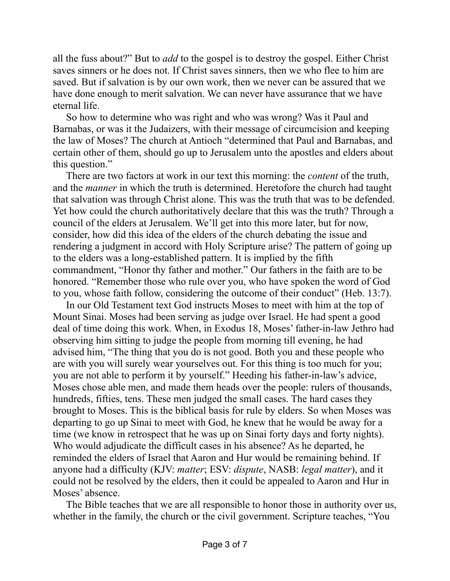all the fuss about?" But to *add* to the gospel is to destroy the gospel. Either Christ saves sinners or he does not. If Christ saves sinners, then we who flee to him are saved. But if salvation is by our own work, then we never can be assured that we have done enough to merit salvation. We can never have assurance that we have eternal life.

So how to determine who was right and who was wrong? Was it Paul and Barnabas, or was it the Judaizers, with their message of circumcision and keeping the law of Moses? The church at Antioch "determined that Paul and Barnabas, and certain other of them, should go up to Jerusalem unto the apostles and elders about this question."

There are two factors at work in our text this morning: the *content* of the truth, and the *manner* in which the truth is determined. Heretofore the church had taught that salvation was through Christ alone. This was the truth that was to be defended. Yet how could the church authoritatively declare that this was the truth? Through a council of the elders at Jerusalem. We'll get into this more later, but for now, consider, how did this idea of the elders of the church debating the issue and rendering a judgment in accord with Holy Scripture arise? The pattern of going up to the elders was a long-established pattern. It is implied by the fifth commandment, "Honor thy father and mother." Our fathers in the faith are to be honored. "Remember those who rule over you, who have spoken the word of God to you, whose faith follow, considering the outcome of their conduct" (Heb. 13:7).

In our Old Testament text God instructs Moses to meet with him at the top of Mount Sinai. Moses had been serving as judge over Israel. He had spent a good deal of time doing this work. When, in Exodus 18, Moses' father-in-law Jethro had observing him sitting to judge the people from morning till evening, he had advised him, "The thing that you do is not good. Both you and these people who are with you will surely wear yourselves out. For this thing is too much for you; you are not able to perform it by yourself." Heeding his father-in-law's advice, Moses chose able men, and made them heads over the people: rulers of thousands, hundreds, fifties, tens. These men judged the small cases. The hard cases they brought to Moses. This is the biblical basis for rule by elders. So when Moses was departing to go up Sinai to meet with God, he knew that he would be away for a time (we know in retrospect that he was up on Sinai forty days and forty nights). Who would adjudicate the difficult cases in his absence? As he departed, he reminded the elders of Israel that Aaron and Hur would be remaining behind. If anyone had a difficulty (KJV: *matter*; ESV: *dispute*, NASB: *legal matter*), and it could not be resolved by the elders, then it could be appealed to Aaron and Hur in Moses' absence.

The Bible teaches that we are all responsible to honor those in authority over us, whether in the family, the church or the civil government. Scripture teaches, "You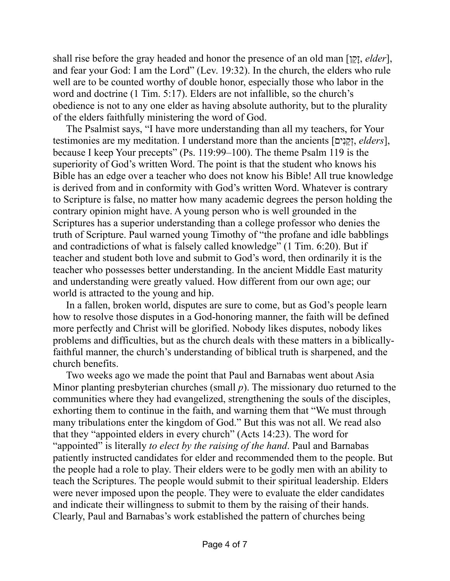shall rise before the gray headed and honor the presence of an old man [ן ֵקָז, *elder*], and fear your God: I am the Lord" (Lev. 19:32). In the church, the elders who rule well are to be counted worthy of double honor, especially those who labor in the word and doctrine (1 Tim. 5:17). Elders are not infallible, so the church's obedience is not to any one elder as having absolute authority, but to the plurality of the elders faithfully ministering the word of God.

The Psalmist says, "I have more understanding than all my teachers, for Your testimonies are my meditation. I understand more than the ancients [יםִנ ֵקְז, *elders*], because I keep Your precepts" (Ps. 119:99–100). The theme Psalm 119 is the superiority of God's written Word. The point is that the student who knows his Bible has an edge over a teacher who does not know his Bible! All true knowledge is derived from and in conformity with God's written Word. Whatever is contrary to Scripture is false, no matter how many academic degrees the person holding the contrary opinion might have. A young person who is well grounded in the Scriptures has a superior understanding than a college professor who denies the truth of Scripture. Paul warned young Timothy of "the profane and idle babblings and contradictions of what is falsely called knowledge" (1 Tim. 6:20). But if teacher and student both love and submit to God's word, then ordinarily it is the teacher who possesses better understanding. In the ancient Middle East maturity and understanding were greatly valued. How different from our own age; our world is attracted to the young and hip.

In a fallen, broken world, disputes are sure to come, but as God's people learn how to resolve those disputes in a God-honoring manner, the faith will be defined more perfectly and Christ will be glorified. Nobody likes disputes, nobody likes problems and difficulties, but as the church deals with these matters in a biblicallyfaithful manner, the church's understanding of biblical truth is sharpened, and the church benefits.

Two weeks ago we made the point that Paul and Barnabas went about Asia Minor planting presbyterian churches (small *p*). The missionary duo returned to the communities where they had evangelized, strengthening the souls of the disciples, exhorting them to continue in the faith, and warning them that "We must through many tribulations enter the kingdom of God." But this was not all. We read also that they "appointed elders in every church" (Acts 14:23). The word for "appointed" is literally *to elect by the raising of the hand*. Paul and Barnabas patiently instructed candidates for elder and recommended them to the people. But the people had a role to play. Their elders were to be godly men with an ability to teach the Scriptures. The people would submit to their spiritual leadership. Elders were never imposed upon the people. They were to evaluate the elder candidates and indicate their willingness to submit to them by the raising of their hands. Clearly, Paul and Barnabas's work established the pattern of churches being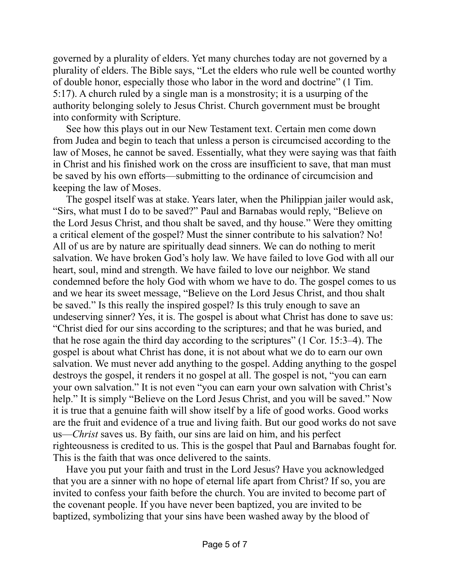governed by a plurality of elders. Yet many churches today are not governed by a plurality of elders. The Bible says, "Let the elders who rule well be counted worthy of double honor, especially those who labor in the word and doctrine" (1 Tim. 5:17). A church ruled by a single man is a monstrosity; it is a usurping of the authority belonging solely to Jesus Christ. Church government must be brought into conformity with Scripture.

See how this plays out in our New Testament text. Certain men come down from Judea and begin to teach that unless a person is circumcised according to the law of Moses, he cannot be saved. Essentially, what they were saying was that faith in Christ and his finished work on the cross are insufficient to save, that man must be saved by his own efforts—submitting to the ordinance of circumcision and keeping the law of Moses.

The gospel itself was at stake. Years later, when the Philippian jailer would ask, "Sirs, what must I do to be saved?" Paul and Barnabas would reply, "Believe on the Lord Jesus Christ, and thou shalt be saved, and thy house." Were they omitting a critical element of the gospel? Must the sinner contribute to his salvation? No! All of us are by nature are spiritually dead sinners. We can do nothing to merit salvation. We have broken God's holy law. We have failed to love God with all our heart, soul, mind and strength. We have failed to love our neighbor. We stand condemned before the holy God with whom we have to do. The gospel comes to us and we hear its sweet message, "Believe on the Lord Jesus Christ, and thou shalt be saved." Is this really the inspired gospel? Is this truly enough to save an undeserving sinner? Yes, it is. The gospel is about what Christ has done to save us: "Christ died for our sins according to the scriptures; and that he was buried, and that he rose again the third day according to the scriptures" (1 Cor. 15:3–4). The gospel is about what Christ has done, it is not about what we do to earn our own salvation. We must never add anything to the gospel. Adding anything to the gospel destroys the gospel, it renders it no gospel at all. The gospel is not, "you can earn your own salvation." It is not even "you can earn your own salvation with Christ's help." It is simply "Believe on the Lord Jesus Christ, and you will be saved." Now it is true that a genuine faith will show itself by a life of good works. Good works are the fruit and evidence of a true and living faith. But our good works do not save us—*Christ* saves us. By faith, our sins are laid on him, and his perfect righteousness is credited to us. This is the gospel that Paul and Barnabas fought for. This is the faith that was once delivered to the saints.

Have you put your faith and trust in the Lord Jesus? Have you acknowledged that you are a sinner with no hope of eternal life apart from Christ? If so, you are invited to confess your faith before the church. You are invited to become part of the covenant people. If you have never been baptized, you are invited to be baptized, symbolizing that your sins have been washed away by the blood of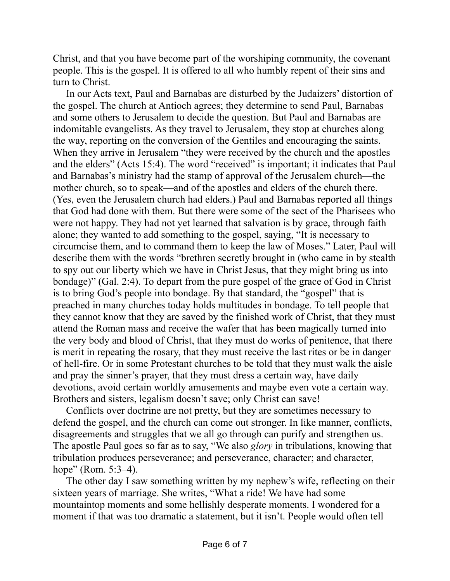Christ, and that you have become part of the worshiping community, the covenant people. This is the gospel. It is offered to all who humbly repent of their sins and turn to Christ.

In our Acts text, Paul and Barnabas are disturbed by the Judaizers' distortion of the gospel. The church at Antioch agrees; they determine to send Paul, Barnabas and some others to Jerusalem to decide the question. But Paul and Barnabas are indomitable evangelists. As they travel to Jerusalem, they stop at churches along the way, reporting on the conversion of the Gentiles and encouraging the saints. When they arrive in Jerusalem "they were received by the church and the apostles and the elders" (Acts 15:4). The word "received" is important; it indicates that Paul and Barnabas's ministry had the stamp of approval of the Jerusalem church—the mother church, so to speak—and of the apostles and elders of the church there. (Yes, even the Jerusalem church had elders.) Paul and Barnabas reported all things that God had done with them. But there were some of the sect of the Pharisees who were not happy. They had not yet learned that salvation is by grace, through faith alone; they wanted to add something to the gospel, saying, "It is necessary to circumcise them, and to command them to keep the law of Moses." Later, Paul will describe them with the words "brethren secretly brought in (who came in by stealth to spy out our liberty which we have in Christ Jesus, that they might bring us into bondage)" (Gal. 2:4). To depart from the pure gospel of the grace of God in Christ is to bring God's people into bondage. By that standard, the "gospel" that is preached in many churches today holds multitudes in bondage. To tell people that they cannot know that they are saved by the finished work of Christ, that they must attend the Roman mass and receive the wafer that has been magically turned into the very body and blood of Christ, that they must do works of penitence, that there is merit in repeating the rosary, that they must receive the last rites or be in danger of hell-fire. Or in some Protestant churches to be told that they must walk the aisle and pray the sinner's prayer, that they must dress a certain way, have daily devotions, avoid certain worldly amusements and maybe even vote a certain way. Brothers and sisters, legalism doesn't save; only Christ can save!

Conflicts over doctrine are not pretty, but they are sometimes necessary to defend the gospel, and the church can come out stronger. In like manner, conflicts, disagreements and struggles that we all go through can purify and strengthen us. The apostle Paul goes so far as to say, "We also *glory* in tribulations, knowing that tribulation produces perseverance; and perseverance, character; and character, hope" (Rom. 5:3–4).

The other day I saw something written by my nephew's wife, reflecting on their sixteen years of marriage. She writes, "What a ride! We have had some mountaintop moments and some hellishly desperate moments. I wondered for a moment if that was too dramatic a statement, but it isn't. People would often tell